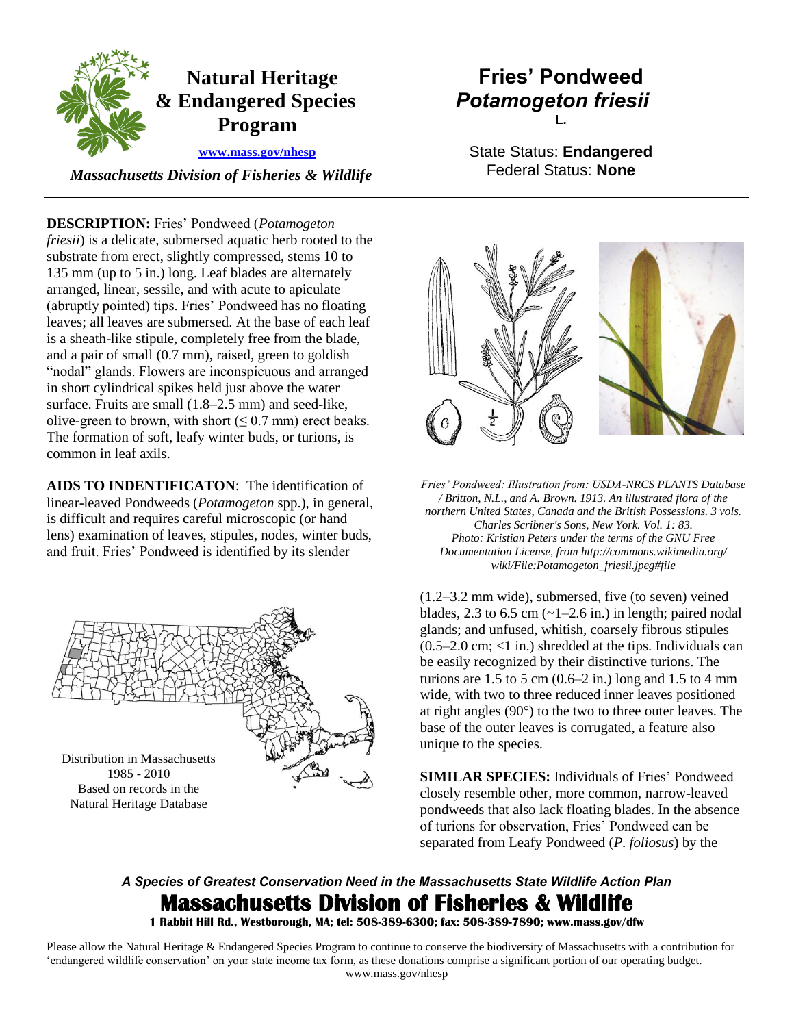

 *Massachusetts Division of Fisheries & Wildlife* 

**DESCRIPTION:** Fries' Pondweed (*Potamogeton friesii*) is a delicate, submersed aquatic herb rooted to the substrate from erect, slightly compressed, stems 10 to 135 mm (up to 5 in.) long. Leaf blades are alternately arranged, linear, sessile, and with acute to apiculate (abruptly pointed) tips. Fries' Pondweed has no floating leaves; all leaves are submersed. At the base of each leaf is a sheath-like stipule, completely free from the blade, and a pair of small (0.7 mm), raised, green to goldish "nodal" glands. Flowers are inconspicuous and arranged in short cylindrical spikes held just above the water surface. Fruits are small (1.8–2.5 mm) and seed-like, olive-green to brown, with short  $(6.7 \text{ mm})$  erect beaks. The formation of soft, leafy winter buds, or turions, is common in leaf axils.

**AIDS TO INDENTIFICATON**: The identification of linear-leaved Pondweeds (*Potamogeton* spp.), in general, is difficult and requires careful microscopic (or hand lens) examination of leaves, stipules, nodes, winter buds, and fruit. Fries' Pondweed is identified by its slender



Natural Heritage Database

## **Fries' Pondweed** *Potamogeton friesii* **L.**

State Status: **Endangered** Federal Status: **None**



*Fries' Pondweed: Illustration from: USDA-NRCS PLANTS Database / Britton, N.L., and A. Brown. 1913. An illustrated flora of the northern United States, Canada and the British Possessions. 3 vols. Charles Scribner's Sons, New York. Vol. 1: 83. Photo: Kristian Peters under the terms of the GNU Free Documentation License, from http://commons.wikimedia.org/ wiki/File:Potamogeton\_friesii.jpeg#file* 

(1.2–3.2 mm wide), submersed, five (to seven) veined blades, 2.3 to 6.5 cm  $\left(\frac{1}{2.6} \text{ in.}\right)$  in length; paired nodal glands; and unfused, whitish, coarsely fibrous stipules  $(0.5-2.0 \text{ cm}; < 1 \text{ in.})$  shredded at the tips. Individuals can be easily recognized by their distinctive turions. The turions are  $1.5$  to  $5$  cm  $(0.6-2$  in.) long and  $1.5$  to  $4$  mm wide, with two to three reduced inner leaves positioned at right angles (90°) to the two to three outer leaves. The base of the outer leaves is corrugated, a feature also unique to the species.

**SIMILAR SPECIES:** Individuals of Fries' Pondweed closely resemble other, more common, narrow-leaved pondweeds that also lack floating blades. In the absence of turions for observation, Fries' Pondweed can be separated from Leafy Pondweed (*P. foliosus*) by the

# *A Species of Greatest Conservation Need in the Massachusetts State Wildlife Action Plan*  **Massachusetts Division of Fisheries & Wildlife**

**1 Rabbit Hill Rd., Westborough, MA; tel: 508-389-6300; fax: 508-389-7890; www.mass.gov/dfw** 

Please allow the Natural Heritage & Endangered Species Program to continue to conserve the biodiversity of Massachusetts with a contribution for 'endangered wildlife conservation' on your state income tax form, as these donations comprise a significant portion of our operating budget. www.mass.gov/nhesp